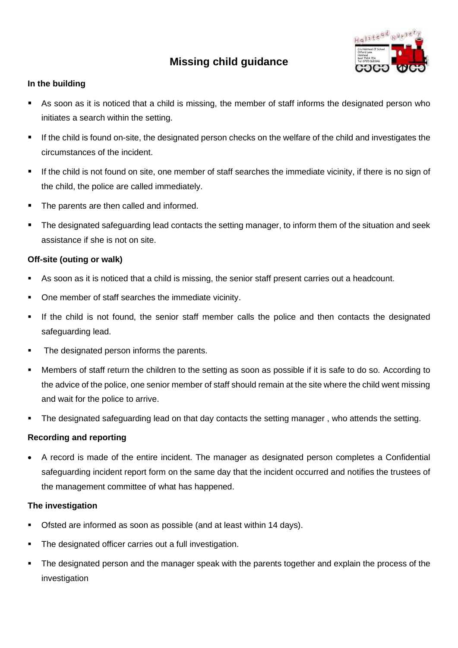# **Missing child guidance**



## **In the building**

- As soon as it is noticed that a child is missing, the member of staff informs the designated person who initiates a search within the setting.
- If the child is found on-site, the designated person checks on the welfare of the child and investigates the circumstances of the incident.
- If the child is not found on site, one member of staff searches the immediate vicinity, if there is no sign of the child, the police are called immediately.
- The parents are then called and informed.
- The designated safeguarding lead contacts the setting manager, to inform them of the situation and seek assistance if she is not on site.

## **Off-site (outing or walk)**

- As soon as it is noticed that a child is missing, the senior staff present carries out a headcount.
- One member of staff searches the immediate vicinity.
- **.** If the child is not found, the senior staff member calls the police and then contacts the designated safeguarding lead.
- The designated person informs the parents.
- Members of staff return the children to the setting as soon as possible if it is safe to do so. According to the advice of the police, one senior member of staff should remain at the site where the child went missing and wait for the police to arrive.
- The designated safeguarding lead on that day contacts the setting manager, who attends the setting.

### **Recording and reporting**

• A record is made of the entire incident. The manager as designated person completes a Confidential safeguarding incident report form on the same day that the incident occurred and notifies the trustees of the management committee of what has happened.

### **The investigation**

- Ofsted are informed as soon as possible (and at least within 14 days).
- The designated officer carries out a full investigation.
- The designated person and the manager speak with the parents together and explain the process of the investigation